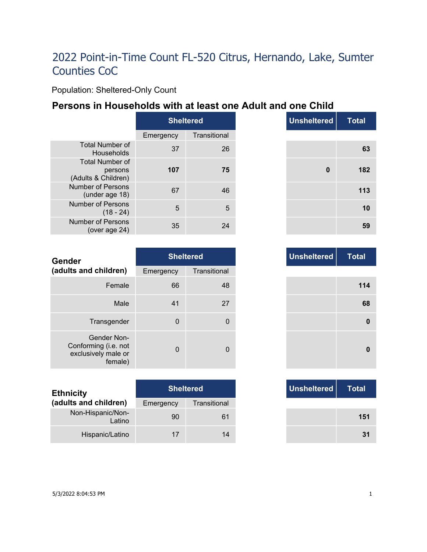# 2022 Point-in-Time Count FL-520 Citrus, Hernando, Lake, Sumter Counties CoC

## Population: Sheltered-Only Count

### **Persons in Households with at least one Adult and one Child**

|                                                          | <b>Sheltered</b> |              |  |
|----------------------------------------------------------|------------------|--------------|--|
|                                                          | Emergency        | Transitional |  |
| <b>Total Number of</b><br>Households                     | 37               | 26           |  |
| <b>Total Number of</b><br>persons<br>(Adults & Children) | 107              | 75           |  |
| Number of Persons<br>(under age 18)                      | 67               | 46           |  |
| Number of Persons<br>$(18 - 24)$                         | 5                | 5            |  |
| Number of Persons<br>(over age $24$ )                    | 35               |              |  |

| <b>Sheltered</b> |
|------------------|
| Transitional     |
| 26               |
| 75               |
| 46               |
| 5                |
| 24               |
|                  |

| Gender                                                                |             | <b>Sheltered</b> | <b>Unsheltered</b> |
|-----------------------------------------------------------------------|-------------|------------------|--------------------|
| (adults and children)                                                 | Emergency   | Transitional     |                    |
| Female                                                                | 66          | 48               |                    |
| Male                                                                  | 41          | 27               |                    |
| Transgender                                                           | $\mathbf 0$ | $\Omega$         |                    |
| Gender Non-<br>Conforming (i.e. not<br>exclusively male or<br>female) | $\Omega$    | $\Omega$         |                    |

| <b>Ethnicity</b>            |           | <b>Sheltered</b> | Unsheltered |
|-----------------------------|-----------|------------------|-------------|
| (adults and children)       | Emergency | Transitional     |             |
| Non-Hispanic/Non-<br>Latino | 90        | 61               |             |
| Hispanic/Latino             | 17        | 14               |             |

|          | <b>Sheltered</b> |
|----------|------------------|
| าcy      | Transitional     |
| 66       | 48               |
| 41       | 27               |
| $\Omega$ | $\mathbf 0$      |
| $\Omega$ | 0                |

|     | <b>Sheltered</b> |
|-----|------------------|
| ιсγ | Transitional     |
| 90  | 61               |
| 17  | 14               |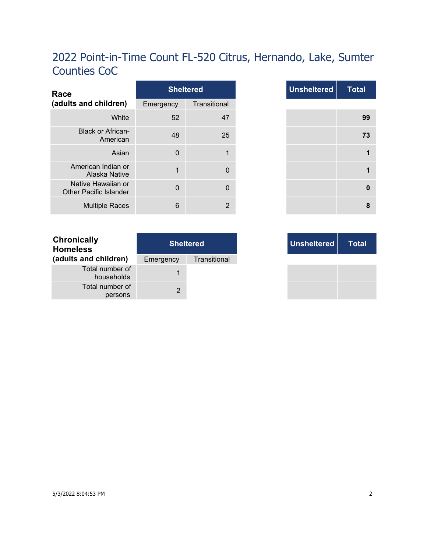#### 2022 Point-in-Time Count FL-520 Citrus, Hernando, Lake, Sumter Counties CoC <u> 1999 - Johann J</u>

| Race                                                |                | <b>Sheltered</b> |
|-----------------------------------------------------|----------------|------------------|
| (adults and children)                               | Emergency      | Transitional     |
| White                                               | 52             | 47               |
| <b>Black or African-</b><br>American                | 48             | 25               |
| Asian                                               | $\mathbf{0}$   | 1                |
| American Indian or<br>Alaska Native                 | $\mathbf 1$    | 0                |
| Native Hawaiian or<br><b>Other Pacific Islander</b> | $\overline{0}$ | 0                |
| <b>Multiple Races</b>                               | 6              | $\overline{2}$   |

|                 | <b>Sheltered</b> | <b>Unsheltered</b> | <b>Total</b> |
|-----------------|------------------|--------------------|--------------|
| าcy             | Transitional     |                    |              |
| 52              | 47               |                    | 99           |
| 48              | 25               |                    | 73           |
| $\mathbf 0$     | 1                |                    |              |
| $\mathbf 1$     | 0                |                    |              |
| $\mathbf 0$     | 0                |                    |              |
| $6\phantom{1}6$ | $\overline{2}$   |                    |              |

| <b>Chronically</b><br><b>Homeless</b> | <b>Sheltered</b> |              |  |
|---------------------------------------|------------------|--------------|--|
| (adults and children)                 | Emergency        | Transitional |  |
| Total number of<br>households         |                  |              |  |
| Total number of<br>persons            | 2                |              |  |

| <b>Sheltered</b> |              |
|------------------|--------------|
| ٦cγ              | Transitional |
|                  |              |
| $\mathcal{P}$    |              |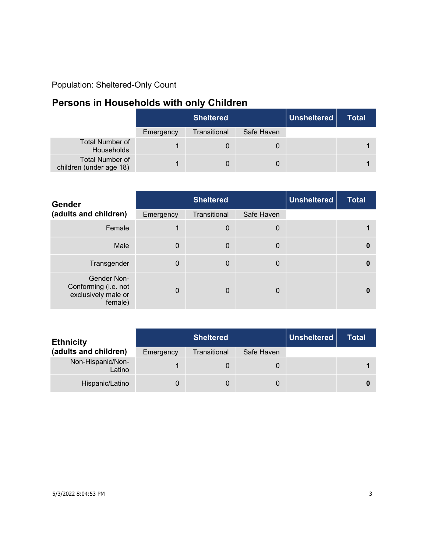## Population: Sheltered-Only Count

# **Persons in Households with only Children**

|                                                   | <b>Sheltered</b> |              |            | Unsheltered | <b>Total</b> |
|---------------------------------------------------|------------------|--------------|------------|-------------|--------------|
|                                                   | Emergency        | Transitional | Safe Haven |             |              |
| <b>Total Number of</b><br>Households              |                  |              | 0          |             |              |
| <b>Total Number of</b><br>children (under age 18) |                  | 0            | 0          |             |              |

| <b>Gender</b>                                                         | <b>Sheltered</b> |                  |            | <b>Unsheltered</b> | <b>Total</b> |
|-----------------------------------------------------------------------|------------------|------------------|------------|--------------------|--------------|
| (adults and children)                                                 | Emergency        | Transitional     | Safe Haven |                    |              |
| Female                                                                |                  | $\boldsymbol{0}$ | 0          |                    |              |
| Male                                                                  | $\Omega$         | $\mathbf 0$      | 0          |                    |              |
| Transgender                                                           | $\Omega$         | $\mathbf 0$      | 0          |                    |              |
| Gender Non-<br>Conforming (i.e. not<br>exclusively male or<br>female) | $\Omega$         | $\Omega$         | 0          |                    |              |

| <b>Ethnicity</b>            | <b>Sheltered</b> |              |            | Unsheltered | Total |
|-----------------------------|------------------|--------------|------------|-------------|-------|
| (adults and children)       | Emergency        | Transitional | Safe Haven |             |       |
| Non-Hispanic/Non-<br>Latino |                  |              | 0          |             |       |
| Hispanic/Latino             |                  |              | 0          |             |       |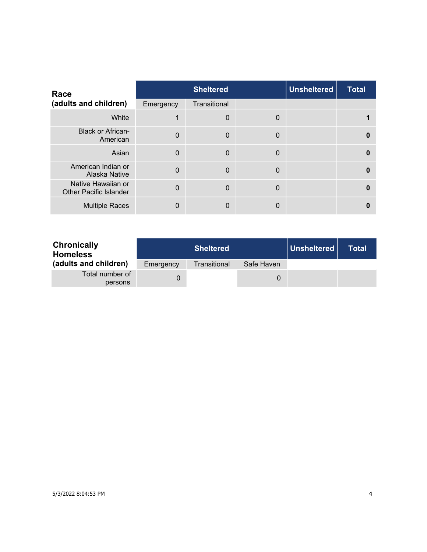| Race                                                |              | <b>Sheltered</b> |              |  | <b>Total</b> |
|-----------------------------------------------------|--------------|------------------|--------------|--|--------------|
| (adults and children)                               | Emergency    | Transitional     |              |  |              |
| White                                               |              | $\overline{0}$   | $\mathbf{0}$ |  |              |
| <b>Black or African-</b><br>American                | $\mathbf{0}$ | $\mathbf 0$      | 0            |  | $\mathbf{0}$ |
| Asian                                               | $\mathbf{0}$ | $\overline{0}$   | $\mathbf{0}$ |  | $\Omega$     |
| American Indian or<br>Alaska Native                 | $\Omega$     | $\Omega$         | 0            |  | $\Omega$     |
| Native Hawaiian or<br><b>Other Pacific Islander</b> | $\Omega$     | $\Omega$         | 0            |  | $\Omega$     |
| <b>Multiple Races</b>                               | 0            | $\mathbf{0}$     | 0            |  |              |

| <b>Chronically</b><br><b>Homeless</b> |           | <b>Sheltered</b> |            | Unsheltered | <b>Total</b> |
|---------------------------------------|-----------|------------------|------------|-------------|--------------|
| (adults and children)                 | Emergency | Transitional     | Safe Haven |             |              |
| Total number of<br>persons            |           |                  | 0          |             |              |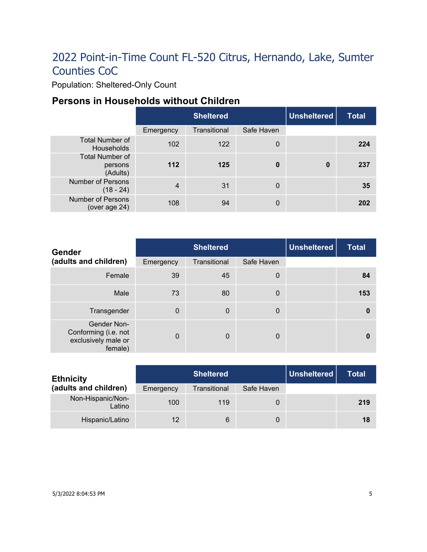# 2022 Point-in-Time Count FL-520 Citrus, Hernando, Lake, Sumter Counties CoC

Population: Sheltered-Only Count

### **Persons in Households without Children**

|                                               |                | <b>Sheltered</b> | <b>Unsheltered</b> | <b>Total</b> |     |
|-----------------------------------------------|----------------|------------------|--------------------|--------------|-----|
|                                               | Emergency      | Transitional     | Safe Haven         |              |     |
| <b>Total Number of</b><br><b>Households</b>   | 102            | 122              | $\mathbf 0$        |              | 224 |
| <b>Total Number of</b><br>persons<br>(Adults) | $112$          | 125              | $\bf{0}$           | 0            | 237 |
| <b>Number of Persons</b><br>$(18 - 24)$       | $\overline{4}$ | 31               | $\mathbf 0$        |              | 35  |
| <b>Number of Persons</b><br>(over age 24)     | 108            | 94               | $\mathbf 0$        |              | 202 |

| <b>Gender</b>                                                         | <b>Sheltered</b> |              |             | <b>Unsheltered</b> | <b>Total</b> |
|-----------------------------------------------------------------------|------------------|--------------|-------------|--------------------|--------------|
| (adults and children)                                                 | Emergency        | Transitional | Safe Haven  |                    |              |
| Female                                                                | 39               | 45           | $\mathbf 0$ |                    | 84           |
| Male                                                                  | 73               | 80           | $\mathbf 0$ |                    | 153          |
| Transgender                                                           | $\Omega$         | $\mathbf 0$  | $\mathbf 0$ |                    | $\bf{0}$     |
| Gender Non-<br>Conforming (i.e. not<br>exclusively male or<br>female) | $\Omega$         | $\Omega$     | 0           |                    | $\mathbf{0}$ |

| <b>Ethnicity</b>            |           | Unsheltered  <br><b>Sheltered</b> |            |  | Total |
|-----------------------------|-----------|-----------------------------------|------------|--|-------|
| (adults and children)       | Emergency | Transitional                      | Safe Haven |  |       |
| Non-Hispanic/Non-<br>Latino | 100       | 119                               | 0          |  | 219   |
| Hispanic/Latino             | 12        | 6                                 | 0          |  | 18    |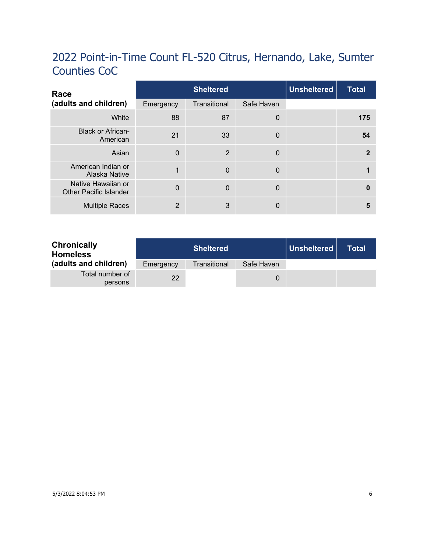# 2022 Point-in-Time Count FL-520 Citrus, Hernando, Lake, Sumter Counties CoC

| Race                                                |           | <b>Sheltered</b> |            |  | <b>Total</b> |
|-----------------------------------------------------|-----------|------------------|------------|--|--------------|
| (adults and children)                               | Emergency | Transitional     | Safe Haven |  |              |
| White                                               | 88        | 87               | 0          |  | 175          |
| <b>Black or African-</b><br>American                | 21        | 33               | 0          |  | 54           |
| Asian                                               | $\Omega$  | 2                | 0          |  | 2            |
| American Indian or<br>Alaska Native                 |           | $\Omega$         | 0          |  |              |
| Native Hawaiian or<br><b>Other Pacific Islander</b> | $\Omega$  | $\Omega$         | 0          |  | 0            |
| <b>Multiple Races</b>                               | 2         | 3                | 0          |  | 5            |

| <b>Chronically</b><br><b>Homeless</b> |           | <b>Sheltered</b> | Unsheltered |  |  |  |
|---------------------------------------|-----------|------------------|-------------|--|--|--|
| (adults and children)                 | Emergency | Transitional     | Safe Haven  |  |  |  |
| Total number of<br>persons            | 22        |                  |             |  |  |  |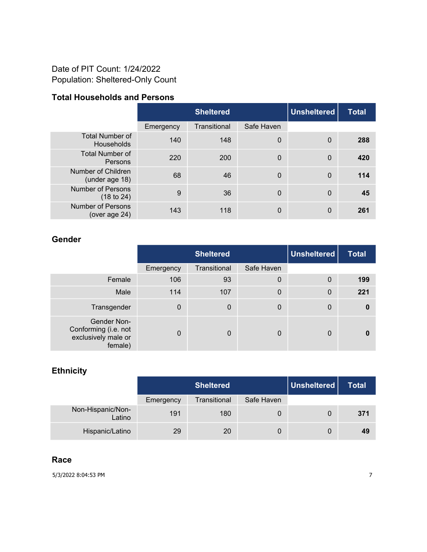### Date of PIT Count: 1/24/2022 Population: Sheltered-Only Count

#### **Total Households and Persons**

|                                             |           | <b>Sheltered</b> | <b>Unsheltered</b> | <b>Total</b>   |     |
|---------------------------------------------|-----------|------------------|--------------------|----------------|-----|
|                                             | Emergency | Transitional     | Safe Haven         |                |     |
| <b>Total Number of</b><br><b>Households</b> | 140       | 148              | $\overline{0}$     | $\Omega$       | 288 |
| <b>Total Number of</b><br>Persons           | 220       | 200              | $\mathbf 0$        | $\mathbf 0$    | 420 |
| Number of Children<br>(under age 18)        | 68        | 46               | $\overline{0}$     | $\Omega$       | 114 |
| <b>Number of Persons</b><br>(18 to 24)      | 9         | 36               | $\mathbf 0$        | $\mathbf 0$    | 45  |
| <b>Number of Persons</b><br>(over age 24)   | 143       | 118              | $\mathbf 0$        | $\overline{0}$ | 261 |

#### **Gender**

|                                                                       | <b>Sheltered</b> |              |                  | <b>Unsheltered</b> | <b>Total</b> |
|-----------------------------------------------------------------------|------------------|--------------|------------------|--------------------|--------------|
|                                                                       | Emergency        | Transitional | Safe Haven       |                    |              |
| Female                                                                | 106              | 93           | $\boldsymbol{0}$ | $\mathbf 0$        | 199          |
| Male                                                                  | 114              | 107          | $\mathbf 0$      | $\mathbf 0$        | 221          |
| Transgender                                                           | 0                | $\mathbf 0$  | 0                | $\boldsymbol{0}$   | 0            |
| Gender Non-<br>Conforming (i.e. not<br>exclusively male or<br>female) | $\Omega$         | $\Omega$     | 0                | 0                  |              |

### **Ethnicity**

|                             |           | <b>Sheltered</b> | Unsheltered | Total |     |
|-----------------------------|-----------|------------------|-------------|-------|-----|
|                             | Emergency | Transitional     | Safe Haven  |       |     |
| Non-Hispanic/Non-<br>Latino | 191       | 180              | 0           | 0     | 371 |
| Hispanic/Latino             | 29        | 20               | 0           | 0     | 49  |

#### **Race**

5/3/2022 8:04:53 PM 7